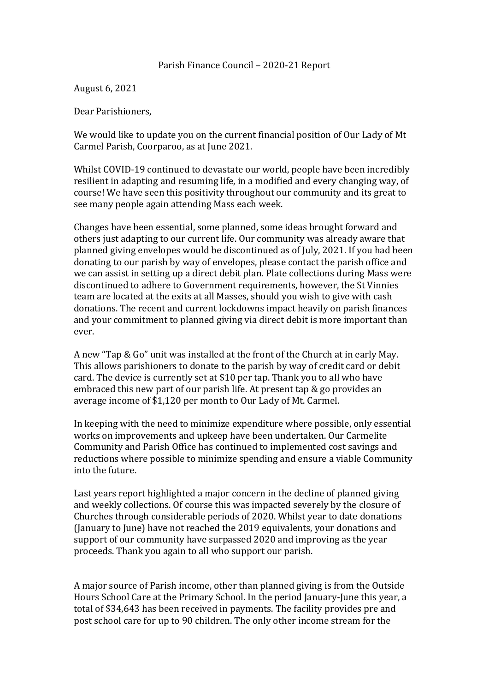August 6, 2021

Dear Parishioners.

We would like to update you on the current financial position of Our Lady of Mt Carmel Parish, Coorparoo, as at June 2021.

Whilst COVID-19 continued to devastate our world, people have been incredibly resilient in adapting and resuming life, in a modified and every changing way, of course! We have seen this positivity throughout our community and its great to see many people again attending Mass each week.

Changes have been essential, some planned, some ideas brought forward and others just adapting to our current life. Our community was already aware that planned giving envelopes would be discontinued as of July, 2021. If you had been donating to our parish by way of envelopes, please contact the parish office and we can assist in setting up a direct debit plan. Plate collections during Mass were discontinued to adhere to Government requirements, however, the St Vinnies team are located at the exits at all Masses, should you wish to give with cash donations. The recent and current lockdowns impact heavily on parish finances and your commitment to planned giving via direct debit is more important than ever.

A new "Tap & Go" unit was installed at the front of the Church at in early May. This allows parishioners to donate to the parish by way of credit card or debit card. The device is currently set at \$10 per tap. Thank you to all who have embraced this new part of our parish life. At present tap  $&$  go provides an average income of \$1,120 per month to Our Lady of Mt. Carmel.

In keeping with the need to minimize expenditure where possible, only essential works on improvements and upkeep have been undertaken. Our Carmelite Community and Parish Office has continued to implemented cost savings and reductions where possible to minimize spending and ensure a viable Community into the future.

Last years report highlighted a major concern in the decline of planned giving and weekly collections. Of course this was impacted severely by the closure of Churches through considerable periods of 2020. Whilst year to date donations (January to June) have not reached the 2019 equivalents, your donations and support of our community have surpassed 2020 and improving as the year proceeds. Thank you again to all who support our parish.

A major source of Parish income, other than planned giving is from the Outside Hours School Care at the Primary School. In the period January-June this year, a total of \$34,643 has been received in payments. The facility provides pre and post school care for up to 90 children. The only other income stream for the